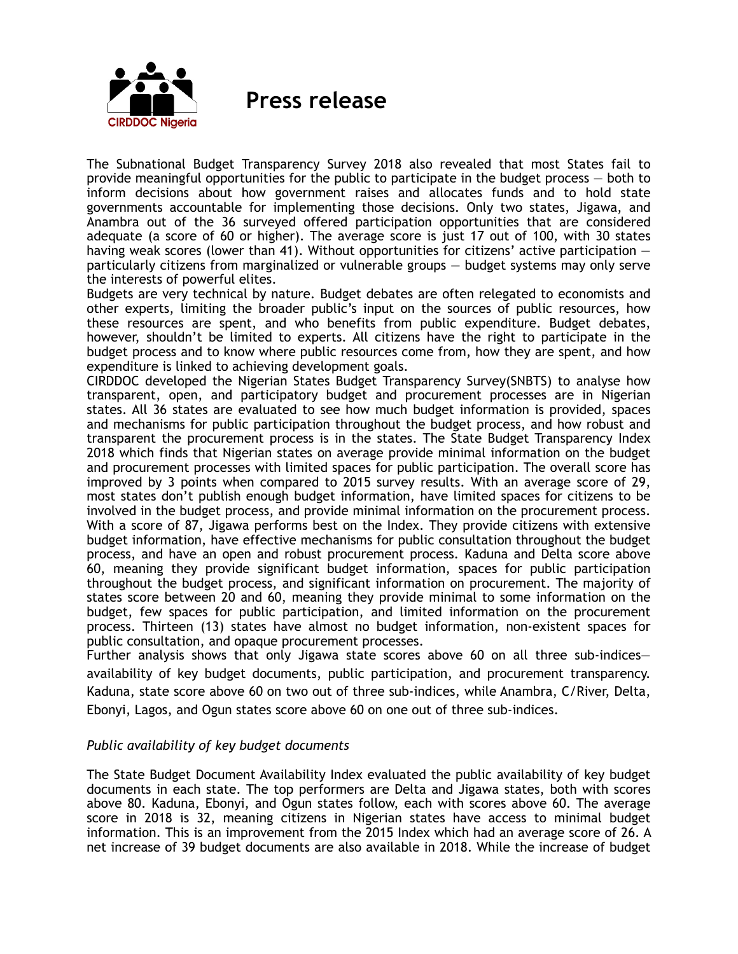

 **Press release**

The Subnational Budget Transparency Survey 2018 also revealed that most States fail to provide meaningful opportunities for the public to participate in the budget process — both to inform decisions about how government raises and allocates funds and to hold state governments accountable for implementing those decisions. Only two states, Jigawa, and Anambra out of the 36 surveyed offered participation opportunities that are considered adequate (a score of 60 or higher). The average score is just 17 out of 100, with 30 states having weak scores (lower than 41). Without opportunities for citizens' active participation  $$ particularly citizens from marginalized or vulnerable groups — budget systems may only serve the interests of powerful elites.

Budgets are very technical by nature. Budget debates are often relegated to economists and other experts, limiting the broader public's input on the sources of public resources, how these resources are spent, and who benefits from public expenditure. Budget debates, however, shouldn't be limited to experts. All citizens have the right to participate in the budget process and to know where public resources come from, how they are spent, and how expenditure is linked to achieving development goals.

CIRDDOC developed the Nigerian States Budget Transparency Survey(SNBTS) to analyse how transparent, open, and participatory budget and procurement processes are in Nigerian states. All 36 states are evaluated to see how much budget information is provided, spaces and mechanisms for public participation throughout the budget process, and how robust and transparent the procurement process is in the states. The State Budget Transparency Index 2018 which finds that Nigerian states on average provide minimal information on the budget and procurement processes with limited spaces for public participation. The overall score has improved by 3 points when compared to 2015 survey results. With an average score of 29, most states don't publish enough budget information, have limited spaces for citizens to be involved in the budget process, and provide minimal information on the procurement process. With a score of 87, Jigawa performs best on the Index. They provide citizens with extensive budget information, have effective mechanisms for public consultation throughout the budget process, and have an open and robust procurement process. Kaduna and Delta score above 60, meaning they provide significant budget information, spaces for public participation throughout the budget process, and significant information on procurement. The majority of states score between 20 and 60, meaning they provide minimal to some information on the budget, few spaces for public participation, and limited information on the procurement process. Thirteen (13) states have almost no budget information, non-existent spaces for public consultation, and opaque procurement processes.

Further analysis shows that only Jigawa state scores above 60 on all three sub-indices availability of key budget documents, public participation, and procurement transparency. Kaduna, state score above 60 on two out of three sub-indices, while Anambra, C/River, Delta, Ebonyi, Lagos, and Ogun states score above 60 on one out of three sub-indices.

## *Public availability of key budget documents*

The State Budget Document Availability Index evaluated the public availability of key budget documents in each state. The top performers are Delta and Jigawa states, both with scores above 80. Kaduna, Ebonyi, and Ogun states follow, each with scores above 60. The average score in 2018 is 32, meaning citizens in Nigerian states have access to minimal budget information. This is an improvement from the 2015 Index which had an average score of 26. A net increase of 39 budget documents are also available in 2018. While the increase of budget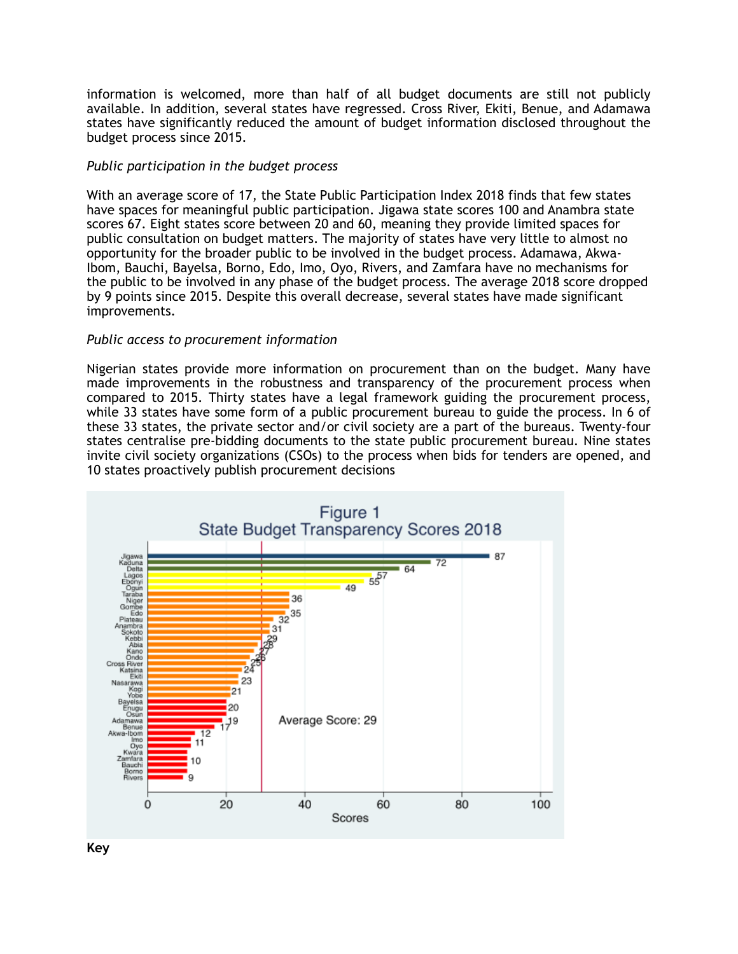information is welcomed, more than half of all budget documents are still not publicly available. In addition, several states have regressed. Cross River, Ekiti, Benue, and Adamawa states have significantly reduced the amount of budget information disclosed throughout the budget process since 2015.

## *Public participation in the budget process*

With an average score of 17, the State Public Participation Index 2018 finds that few states have spaces for meaningful public participation. Jigawa state scores 100 and Anambra state scores 67. Eight states score between 20 and 60, meaning they provide limited spaces for public consultation on budget matters. The majority of states have very little to almost no opportunity for the broader public to be involved in the budget process. Adamawa, Akwa-Ibom, Bauchi, Bayelsa, Borno, Edo, Imo, Oyo, Rivers, and Zamfara have no mechanisms for the public to be involved in any phase of the budget process. The average 2018 score dropped by 9 points since 2015. Despite this overall decrease, several states have made significant improvements.

## *Public access to procurement information*

Nigerian states provide more information on procurement than on the budget. Many have made improvements in the robustness and transparency of the procurement process when compared to 2015. Thirty states have a legal framework guiding the procurement process, while 33 states have some form of a public procurement bureau to guide the process. In 6 of these 33 states, the private sector and/or civil society are a part of the bureaus. Twenty-four states centralise pre-bidding documents to the state public procurement bureau. Nine states invite civil society organizations (CSOs) to the process when bids for tenders are opened, and 10 states proactively publish procurement decisions



**Key**